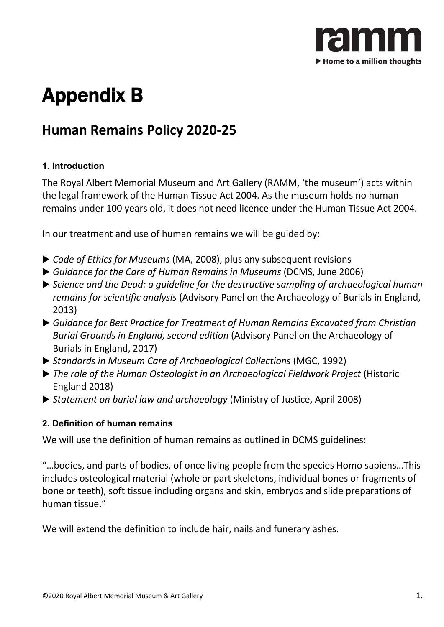

# Appendix B

# **Human Remains Policy 2020-25**

# **1. Introduction**

The Royal Albert Memorial Museum and Art Gallery (RAMM, 'the museum') acts within the legal framework of the Human Tissue Act 2004. As the museum holds no human remains under 100 years old, it does not need licence under the Human Tissue Act 2004.

In our treatment and use of human remains we will be guided by:

- *Code of Ethics for Museums* (MA, 2008), plus any subsequent revisions
- *Guidance for the Care of Human Remains in Museums* (DCMS, June 2006)
- *Science and the Dead: a guideline for the destructive sampling of archaeological human remains for scientific analysis* (Advisory Panel on the Archaeology of Burials in England, 2013)
- *Guidance for Best Practice for Treatment of Human Remains Excavated from Christian Burial Grounds in England, second edition* (Advisory Panel on the Archaeology of Burials in England, 2017)
- *Standards in Museum Care of Archaeological Collections* (MGC, 1992)
- *The role of the Human Osteologist in an Archaeological Fieldwork Project* (Historic England 2018)
- *Statement on burial law and archaeology* (Ministry of Justice, April 2008)

# **2. Definition of human remains**

We will use the definition of human remains as outlined in DCMS guidelines:

"…bodies, and parts of bodies, of once living people from the species Homo sapiens…This includes osteological material (whole or part skeletons, individual bones or fragments of bone or teeth), soft tissue including organs and skin, embryos and slide preparations of human tissue."

We will extend the definition to include hair, nails and funerary ashes.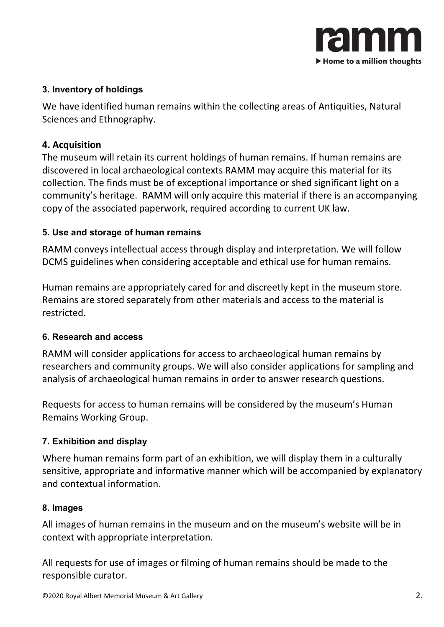

#### **3. Inventory of holdings**

We have identified human remains within the collecting areas of Antiquities, Natural Sciences and Ethnography.

#### **4. Acquisition**

The museum will retain its current holdings of human remains. If human remains are discovered in local archaeological contexts RAMM may acquire this material for its collection. The finds must be of exceptional importance or shed significant light on a community's heritage. RAMM will only acquire this material if there is an accompanying copy of the associated paperwork, required according to current UK law.

#### **5. Use and storage of human remains**

RAMM conveys intellectual access through display and interpretation. We will follow DCMS guidelines when considering acceptable and ethical use for human remains.

Human remains are appropriately cared for and discreetly kept in the museum store. Remains are stored separately from other materials and access to the material is restricted.

#### **6. Research and access**

RAMM will consider applications for access to archaeological human remains by researchers and community groups. We will also consider applications for sampling and analysis of archaeological human remains in order to answer research questions.

Requests for access to human remains will be considered by the museum's Human Remains Working Group.

# **7. Exhibition and display**

Where human remains form part of an exhibition, we will display them in a culturally sensitive, appropriate and informative manner which will be accompanied by explanatory and contextual information.

#### **8. Images**

All images of human remains in the museum and on the museum's website will be in context with appropriate interpretation.

All requests for use of images or filming of human remains should be made to the responsible curator.